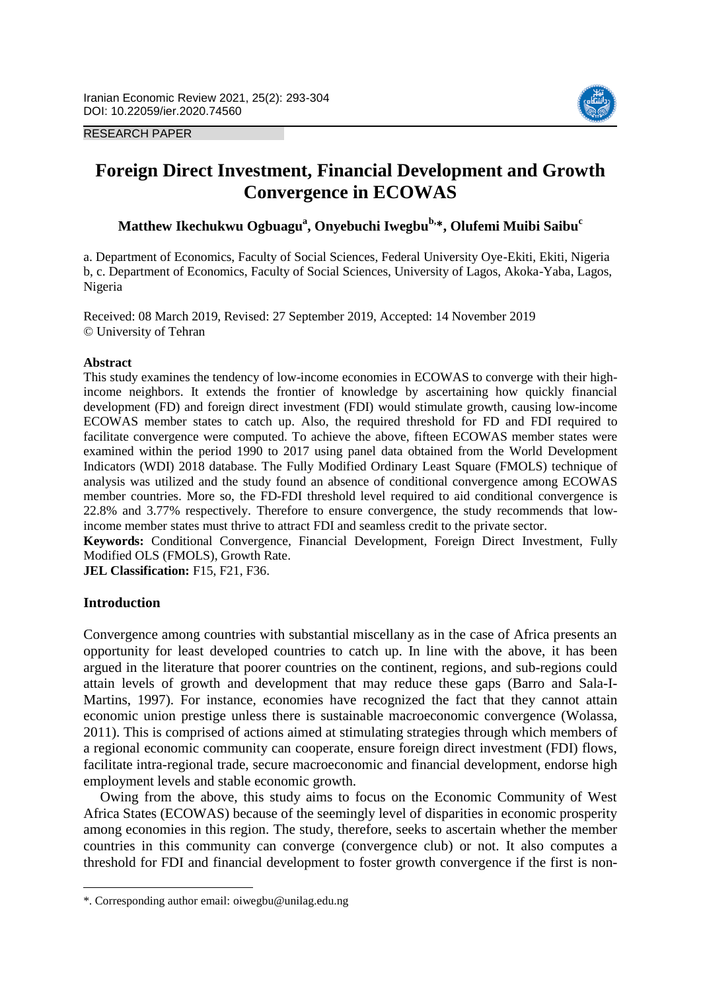



# **Foreign Direct Investment, Financial Development and Growth Convergence in ECOWAS**

**Matthew Ikechukwu Ogbuagu<sup>a</sup> , Onyebuchi Iwegbub, \*, Olufemi Muibi Saibu<sup>c</sup>**

a. Department of Economics, Faculty of Social Sciences, Federal University Oye-Ekiti, Ekiti, Nigeria b, c. Department of Economics, Faculty of Social Sciences, University of Lagos, Akoka-Yaba, Lagos, Nigeria

Received: 08 March 2019, Revised: 27 September 2019, Accepted: 14 November 2019 © University of Tehran

## **Abstract**

This study examines the tendency of low-income economies in ECOWAS to converge with their highincome neighbors. It extends the frontier of knowledge by ascertaining how quickly financial development (FD) and foreign direct investment (FDI) would stimulate growth, causing low-income ECOWAS member states to catch up. Also, the required threshold for FD and FDI required to facilitate convergence were computed. To achieve the above, fifteen ECOWAS member states were examined within the period 1990 to 2017 using panel data obtained from the World Development Indicators (WDI) 2018 database. The Fully Modified Ordinary Least Square (FMOLS) technique of analysis was utilized and the study found an absence of conditional convergence among ECOWAS member countries. More so, the FD-FDI threshold level required to aid conditional convergence is 22.8% and 3.77% respectively. Therefore to ensure convergence, the study recommends that lowincome member states must thrive to attract FDI and seamless credit to the private sector.

**Keywords:** Conditional Convergence, Financial Development, Foreign Direct Investment, Fully Modified OLS (FMOLS), Growth Rate.

**JEL Classification:** F15, F21, F36.

## **Introduction**

 $\overline{\phantom{a}}$ 

Convergence among countries with substantial miscellany as in the case of Africa presents an opportunity for least developed countries to catch up. In line with the above, it has been argued in the literature that poorer countries on the continent, regions, and sub-regions could attain levels of growth and development that may reduce these gaps (Barro and Sala-I-Martins, 1997). For instance, economies have recognized the fact that they cannot attain economic union prestige unless there is sustainable macroeconomic convergence (Wolassa, 2011). This is comprised of actions aimed at stimulating strategies through which members of a regional economic community can cooperate, ensure foreign direct investment (FDI) flows, facilitate intra-regional trade, secure macroeconomic and financial development, endorse high employment levels and stable economic growth.

Owing from the above, this study aims to focus on the Economic Community of West Africa States (ECOWAS) because of the seemingly level of disparities in economic prosperity among economies in this region. The study, therefore, seeks to ascertain whether the member countries in this community can converge (convergence club) or not. It also computes a threshold for FDI and financial development to foster growth convergence if the first is non-

<sup>\*.</sup> Corresponding author email: oiwegbu@unilag.edu.ng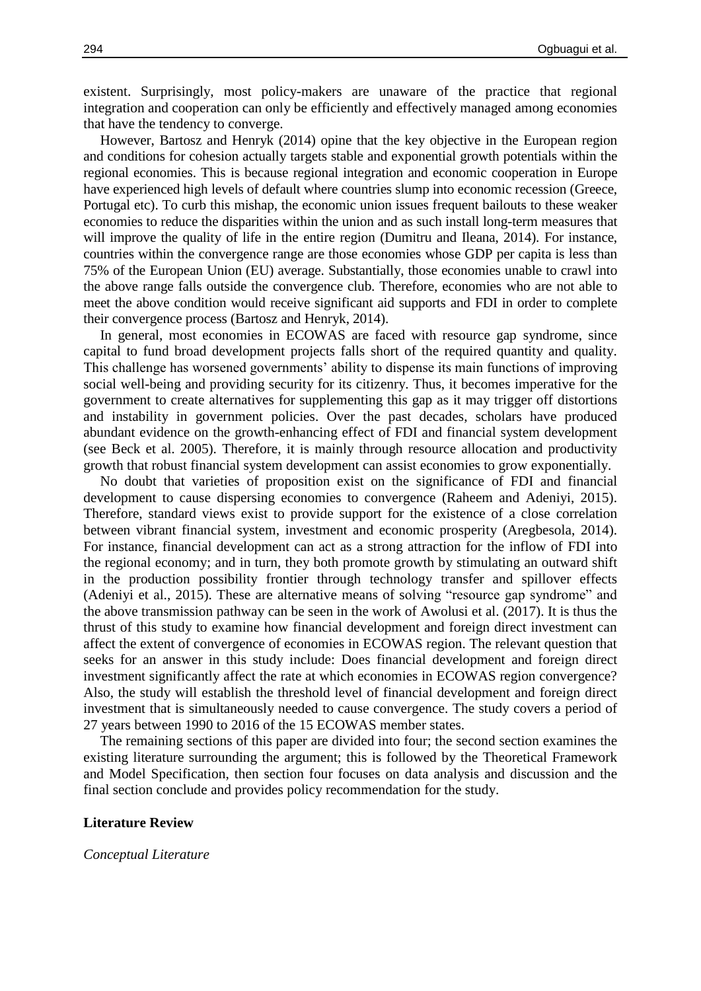existent. Surprisingly, most policy-makers are unaware of the practice that regional integration and cooperation can only be efficiently and effectively managed among economies that have the tendency to converge.

However, Bartosz and Henryk (2014) opine that the key objective in the European region and conditions for cohesion actually targets stable and exponential growth potentials within the regional economies. This is because regional integration and economic cooperation in Europe have experienced high levels of default where countries slump into economic recession (Greece, Portugal etc). To curb this mishap, the economic union issues frequent bailouts to these weaker economies to reduce the disparities within the union and as such install long-term measures that will improve the quality of life in the entire region (Dumitru and Ileana, 2014). For instance, countries within the convergence range are those economies whose GDP per capita is less than 75% of the European Union (EU) average. Substantially, those economies unable to crawl into the above range falls outside the convergence club. Therefore, economies who are not able to meet the above condition would receive significant aid supports and FDI in order to complete their convergence process (Bartosz and Henryk, 2014).

In general, most economies in ECOWAS are faced with resource gap syndrome, since capital to fund broad development projects falls short of the required quantity and quality. This challenge has worsened governments' ability to dispense its main functions of improving social well-being and providing security for its citizenry. Thus, it becomes imperative for the government to create alternatives for supplementing this gap as it may trigger off distortions and instability in government policies. Over the past decades, scholars have produced abundant evidence on the growth-enhancing effect of FDI and financial system development (see Beck et al. 2005). Therefore, it is mainly through resource allocation and productivity growth that robust financial system development can assist economies to grow exponentially.

No doubt that varieties of proposition exist on the significance of FDI and financial development to cause dispersing economies to convergence (Raheem and Adeniyi, 2015). Therefore, standard views exist to provide support for the existence of a close correlation between vibrant financial system, investment and economic prosperity (Aregbesola, 2014). For instance, financial development can act as a strong attraction for the inflow of FDI into the regional economy; and in turn, they both promote growth by stimulating an outward shift in the production possibility frontier through technology transfer and spillover effects (Adeniyi et al., 2015). These are alternative means of solving "resource gap syndrome" and the above transmission pathway can be seen in the work of Awolusi et al. (2017). It is thus the thrust of this study to examine how financial development and foreign direct investment can affect the extent of convergence of economies in ECOWAS region. The relevant question that seeks for an answer in this study include: Does financial development and foreign direct investment significantly affect the rate at which economies in ECOWAS region convergence? Also, the study will establish the threshold level of financial development and foreign direct investment that is simultaneously needed to cause convergence. The study covers a period of 27 years between 1990 to 2016 of the 15 ECOWAS member states.

The remaining sections of this paper are divided into four; the second section examines the existing literature surrounding the argument; this is followed by the Theoretical Framework and Model Specification, then section four focuses on data analysis and discussion and the final section conclude and provides policy recommendation for the study.

#### **Literature Review**

#### *Conceptual Literature*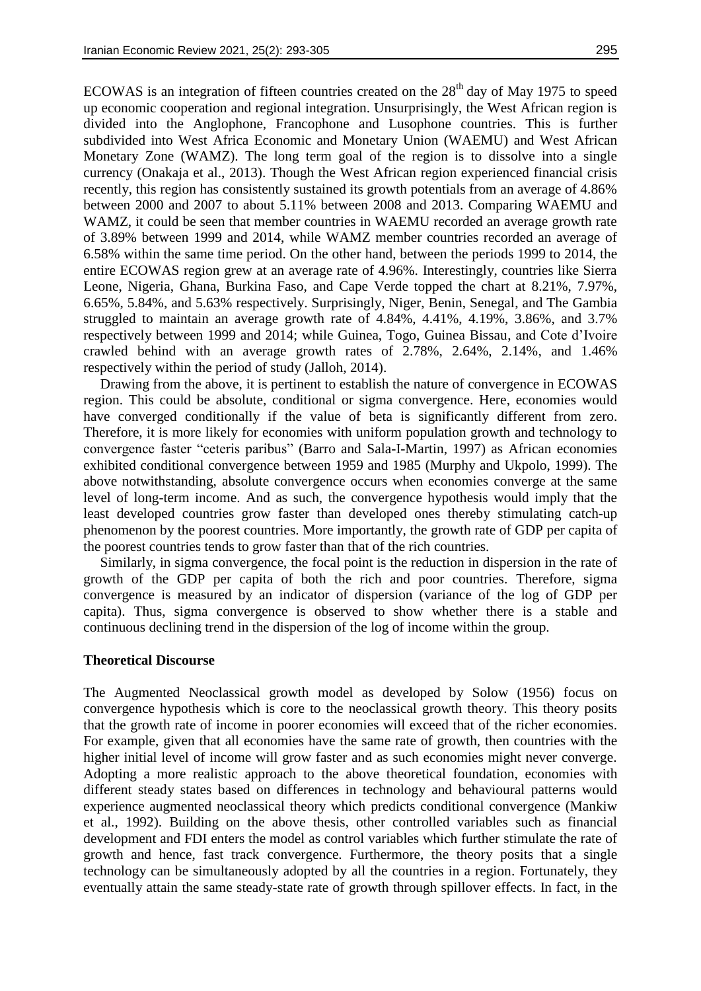ECOWAS is an integration of fifteen countries created on the  $28<sup>th</sup>$  day of May 1975 to speed up economic cooperation and regional integration. Unsurprisingly, the West African region is divided into the Anglophone, Francophone and Lusophone countries. This is further subdivided into West Africa Economic and Monetary Union (WAEMU) and West African Monetary Zone (WAMZ). The long term goal of the region is to dissolve into a single currency (Onakaja et al., 2013). Though the West African region experienced financial crisis recently, this region has consistently sustained its growth potentials from an average of 4.86% between 2000 and 2007 to about 5.11% between 2008 and 2013. Comparing WAEMU and WAMZ, it could be seen that member countries in WAEMU recorded an average growth rate of 3.89% between 1999 and 2014, while WAMZ member countries recorded an average of 6.58% within the same time period. On the other hand, between the periods 1999 to 2014, the entire ECOWAS region grew at an average rate of 4.96%. Interestingly, countries like Sierra Leone, Nigeria, Ghana, Burkina Faso, and Cape Verde topped the chart at 8.21%, 7.97%, 6.65%, 5.84%, and 5.63% respectively. Surprisingly, Niger, Benin, Senegal, and The Gambia struggled to maintain an average growth rate of 4.84%, 4.41%, 4.19%, 3.86%, and 3.7% respectively between 1999 and 2014; while Guinea, Togo, Guinea Bissau, and Cote d'Ivoire crawled behind with an average growth rates of 2.78%, 2.64%, 2.14%, and 1.46% respectively within the period of study (Jalloh, 2014).

Drawing from the above, it is pertinent to establish the nature of convergence in ECOWAS region. This could be absolute, conditional or sigma convergence. Here, economies would have converged conditionally if the value of beta is significantly different from zero. Therefore, it is more likely for economies with uniform population growth and technology to convergence faster "ceteris paribus" (Barro and Sala-I-Martin, 1997) as African economies exhibited conditional convergence between 1959 and 1985 (Murphy and Ukpolo, 1999). The above notwithstanding, absolute convergence occurs when economies converge at the same level of long-term income. And as such, the convergence hypothesis would imply that the least developed countries grow faster than developed ones thereby stimulating catch-up phenomenon by the poorest countries. More importantly, the growth rate of GDP per capita of the poorest countries tends to grow faster than that of the rich countries.

Similarly, in sigma convergence, the focal point is the reduction in dispersion in the rate of growth of the GDP per capita of both the rich and poor countries. Therefore, sigma convergence is measured by an indicator of dispersion (variance of the log of GDP per capita). Thus, sigma convergence is observed to show whether there is a stable and continuous declining trend in the dispersion of the log of income within the group.

## **Theoretical Discourse**

The Augmented Neoclassical growth model as developed by Solow (1956) focus on convergence hypothesis which is core to the neoclassical growth theory. This theory posits that the growth rate of income in poorer economies will exceed that of the richer economies. For example, given that all economies have the same rate of growth, then countries with the higher initial level of income will grow faster and as such economies might never converge. Adopting a more realistic approach to the above theoretical foundation, economies with different steady states based on differences in technology and behavioural patterns would experience augmented neoclassical theory which predicts conditional convergence (Mankiw et al., 1992). Building on the above thesis, other controlled variables such as financial development and FDI enters the model as control variables which further stimulate the rate of growth and hence, fast track convergence. Furthermore, the theory posits that a single technology can be simultaneously adopted by all the countries in a region. Fortunately, they eventually attain the same steady-state rate of growth through spillover effects. In fact, in the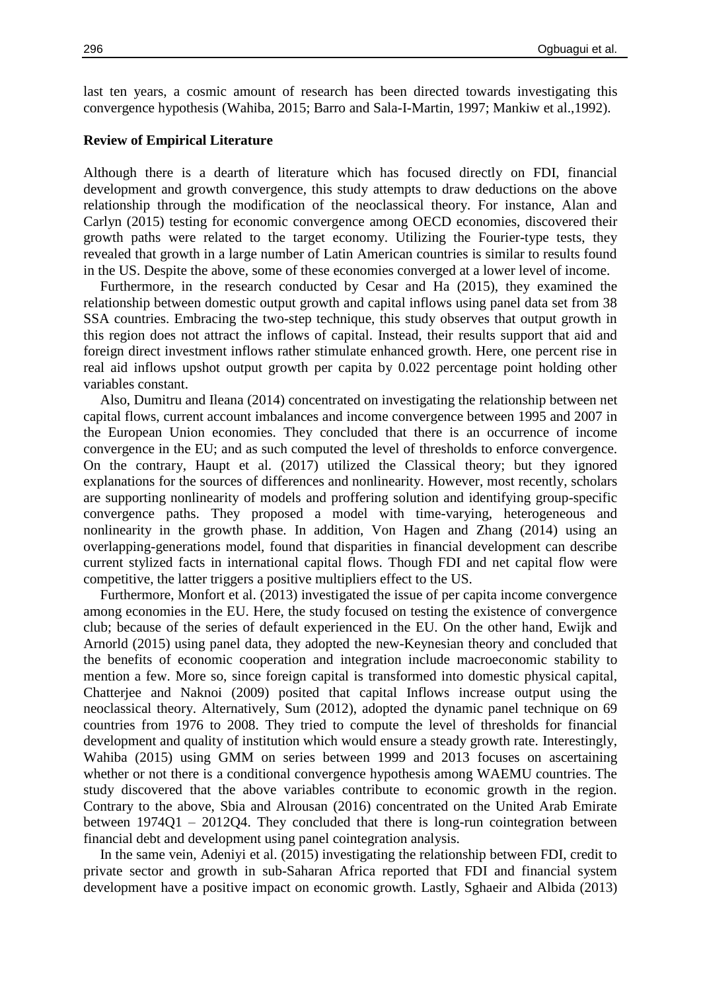last ten years, a cosmic amount of research has been directed towards investigating this convergence hypothesis (Wahiba, 2015; Barro and Sala-I-Martin, 1997; Mankiw et al.,1992).

## **Review of Empirical Literature**

Although there is a dearth of literature which has focused directly on FDI, financial development and growth convergence, this study attempts to draw deductions on the above relationship through the modification of the neoclassical theory. For instance, Alan and Carlyn (2015) testing for economic convergence among OECD economies, discovered their growth paths were related to the target economy. Utilizing the Fourier-type tests, they revealed that growth in a large number of Latin American countries is similar to results found in the US. Despite the above, some of these economies converged at a lower level of income.

Furthermore, in the research conducted by Cesar and Ha (2015), they examined the relationship between domestic output growth and capital inflows using panel data set from 38 SSA countries. Embracing the two-step technique, this study observes that output growth in this region does not attract the inflows of capital. Instead, their results support that aid and foreign direct investment inflows rather stimulate enhanced growth. Here, one percent rise in real aid inflows upshot output growth per capita by 0.022 percentage point holding other variables constant.

Also, Dumitru and Ileana (2014) concentrated on investigating the relationship between net capital flows, current account imbalances and income convergence between 1995 and 2007 in the European Union economies. They concluded that there is an occurrence of income convergence in the EU; and as such computed the level of thresholds to enforce convergence. On the contrary, Haupt et al. (2017) utilized the Classical theory; but they ignored explanations for the sources of differences and nonlinearity. However, most recently, scholars are supporting nonlinearity of models and proffering solution and identifying group-specific convergence paths. They proposed a model with time-varying, heterogeneous and nonlinearity in the growth phase. In addition, Von Hagen and Zhang (2014) using an overlapping-generations model, found that disparities in financial development can describe current stylized facts in international capital flows. Though FDI and net capital flow were competitive, the latter triggers a positive multipliers effect to the US.

Furthermore, Monfort et al. (2013) investigated the issue of per capita income convergence among economies in the EU. Here, the study focused on testing the existence of convergence club; because of the series of default experienced in the EU. On the other hand, Ewijk and Arnorld (2015) using panel data, they adopted the new-Keynesian theory and concluded that the benefits of economic cooperation and integration include macroeconomic stability to mention a few. More so, since foreign capital is transformed into domestic physical capital, Chatterjee and Naknoi (2009) posited that capital Inflows increase output using the neoclassical theory. Alternatively, Sum (2012), adopted the dynamic panel technique on 69 countries from 1976 to 2008. They tried to compute the level of thresholds for financial development and quality of institution which would ensure a steady growth rate. Interestingly, Wahiba (2015) using GMM on series between 1999 and 2013 focuses on ascertaining whether or not there is a conditional convergence hypothesis among WAEMU countries. The study discovered that the above variables contribute to economic growth in the region. Contrary to the above, Sbia and Alrousan (2016) concentrated on the United Arab Emirate between  $1974Q1 - 2012Q4$ . They concluded that there is long-run cointegration between financial debt and development using panel cointegration analysis.

In the same vein, Adeniyi et al. (2015) investigating the relationship between FDI, credit to private sector and growth in sub-Saharan Africa reported that FDI and financial system development have a positive impact on economic growth. Lastly, Sghaeir and Albida (2013)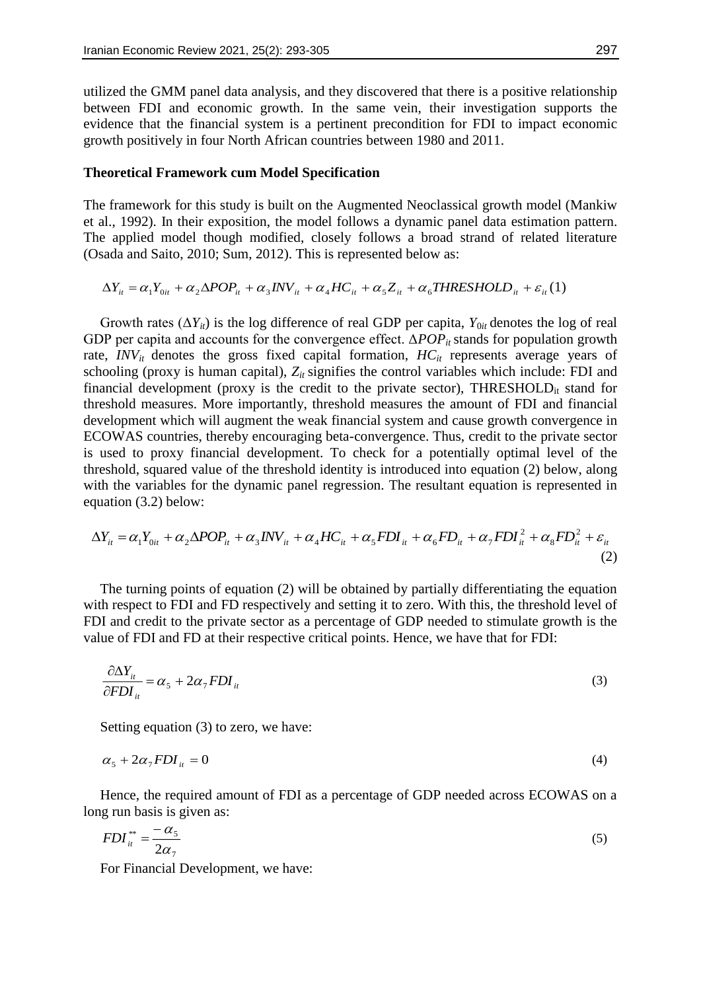utilized the GMM panel data analysis, and they discovered that there is a positive relationship between FDI and economic growth. In the same vein, their investigation supports the evidence that the financial system is a pertinent precondition for FDI to impact economic growth positively in four North African countries between 1980 and 2011.

## **Theoretical Framework cum Model Specification**

The framework for this study is built on the Augmented Neoclassical growth model (Mankiw et al., 1992). In their exposition, the model follows a dynamic panel data estimation pattern. The applied model though modified, closely follows a broad strand of related literature (Osada and Saito, 2010; Sum, 2012). This is represented below as:

$$
\Delta Y_{it} = \alpha_1 Y_{0it} + \alpha_2 \Delta POP_{it} + \alpha_3 INV_{it} + \alpha_4 HC_{it} + \alpha_5 Z_{it} + \alpha_6 THRESHOLD_{it} + \varepsilon_{it}(1)
$$

Growth rates  $(\Delta Y_{it})$  is the log difference of real GDP per capita,  $Y_{0it}$  denotes the log of real GDP per capita and accounts for the convergence effect.  $ΔPOP<sub>it</sub>$  stands for population growth rate,  $INV_{it}$  denotes the gross fixed capital formation,  $HC_{it}$  represents average years of schooling (proxy is human capital),  $Z_{it}$  signifies the control variables which include: FDI and financial development (proxy is the credit to the private sector), THRESHOLD<sub>it</sub> stand for threshold measures. More importantly, threshold measures the amount of FDI and financial development which will augment the weak financial system and cause growth convergence in ECOWAS countries, thereby encouraging beta-convergence. Thus, credit to the private sector is used to proxy financial development. To check for a potentially optimal level of the threshold, squared value of the threshold identity is introduced into equation (2) below, along with the variables for the dynamic panel regression. The resultant equation is represented in equation (3.2) below:

$$
\Delta Y_{it} = \alpha_1 Y_{0it} + \alpha_2 \Delta POP_{it} + \alpha_3 INV_{it} + \alpha_4 HC_{it} + \alpha_5 FDI_{it} + \alpha_6 FD_{it} + \alpha_7 FDI_{it}^2 + \alpha_8 FD_{it}^2 + \varepsilon_{it}
$$
\n(2)

The turning points of equation (2) will be obtained by partially differentiating the equation with respect to FDI and FD respectively and setting it to zero. With this, the threshold level of FDI and credit to the private sector as a percentage of GDP needed to stimulate growth is the value of FDI and FD at their respective critical points. Hence, we have that for FDI:

$$
\frac{\partial \Delta Y_{it}}{\partial FDI_{it}} = \alpha_s + 2\alpha_\gamma FDI_{it}
$$
\n(3)

Setting equation (3) to zero, we have:

$$
\alpha_{5} + 2\alpha_{7} F D I_{it} = 0 \tag{4}
$$

Hence, the required amount of FDI as a percentage of GDP needed across ECOWAS on a long run basis is given as:

$$
FDI_{it}^{**} = \frac{-\alpha_5}{2\alpha_7} \tag{5}
$$

For Financial Development, we have: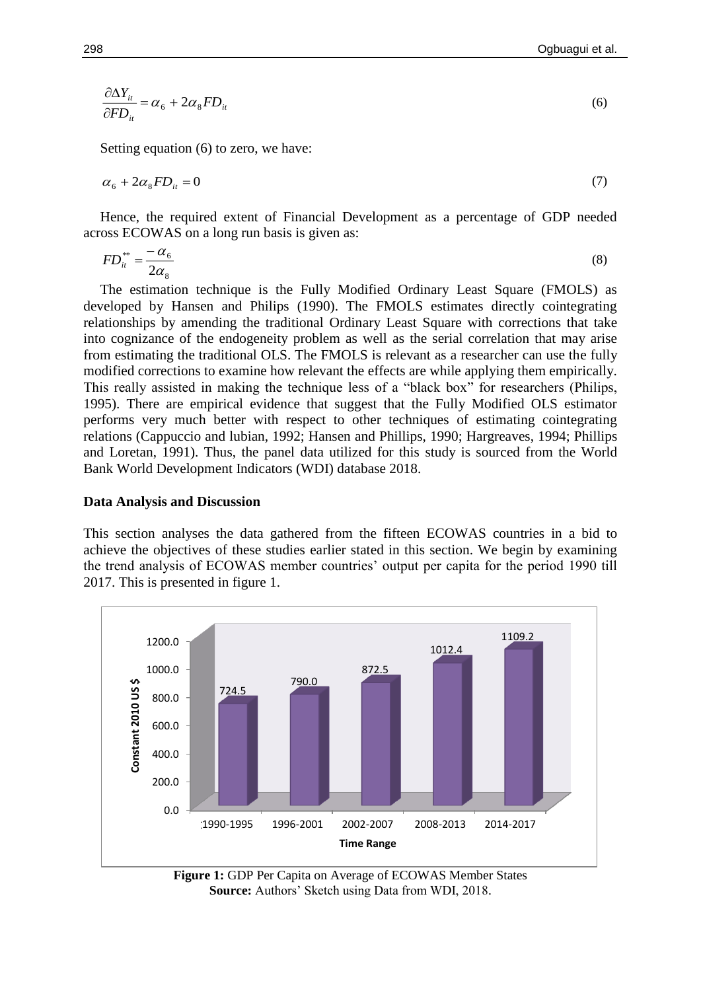$$
\frac{\partial \Delta Y_{it}}{\partial FD_{it}} = \alpha_6 + 2\alpha_8 FD_{it} \tag{6}
$$

Setting equation (6) to zero, we have:

$$
\alpha_{6} + 2\alpha_{8}FD_{it} = 0\tag{7}
$$

Hence, the required extent of Financial Development as a percentage of GDP needed across ECOWAS on a long run basis is given as:

$$
FD_{it}^{**} = \frac{-\alpha_6}{2\alpha_8} \tag{8}
$$

The estimation technique is the Fully Modified Ordinary Least Square (FMOLS) as developed by Hansen and Philips (1990). The FMOLS estimates directly cointegrating relationships by amending the traditional Ordinary Least Square with corrections that take into cognizance of the endogeneity problem as well as the serial correlation that may arise from estimating the traditional OLS. The FMOLS is relevant as a researcher can use the fully modified corrections to examine how relevant the effects are while applying them empirically. This really assisted in making the technique less of a "black box" for researchers (Philips, 1995). There are empirical evidence that suggest that the Fully Modified OLS estimator performs very much better with respect to other techniques of estimating cointegrating relations (Cappuccio and lubian, 1992; Hansen and Phillips, 1990; Hargreaves, 1994; Phillips and Loretan, 1991). Thus, the panel data utilized for this study is sourced from the World Bank World Development Indicators (WDI) database 2018.

#### **Data Analysis and Discussion**

This section analyses the data gathered from the fifteen ECOWAS countries in a bid to achieve the objectives of these studies earlier stated in this section. We begin by examining the trend analysis of ECOWAS member countries' output per capita for the period 1990 till 2017. This is presented in figure 1.



**Figure 1:** GDP Per Capita on Average of ECOWAS Member States **Source:** Authors' Sketch using Data from WDI, 2018.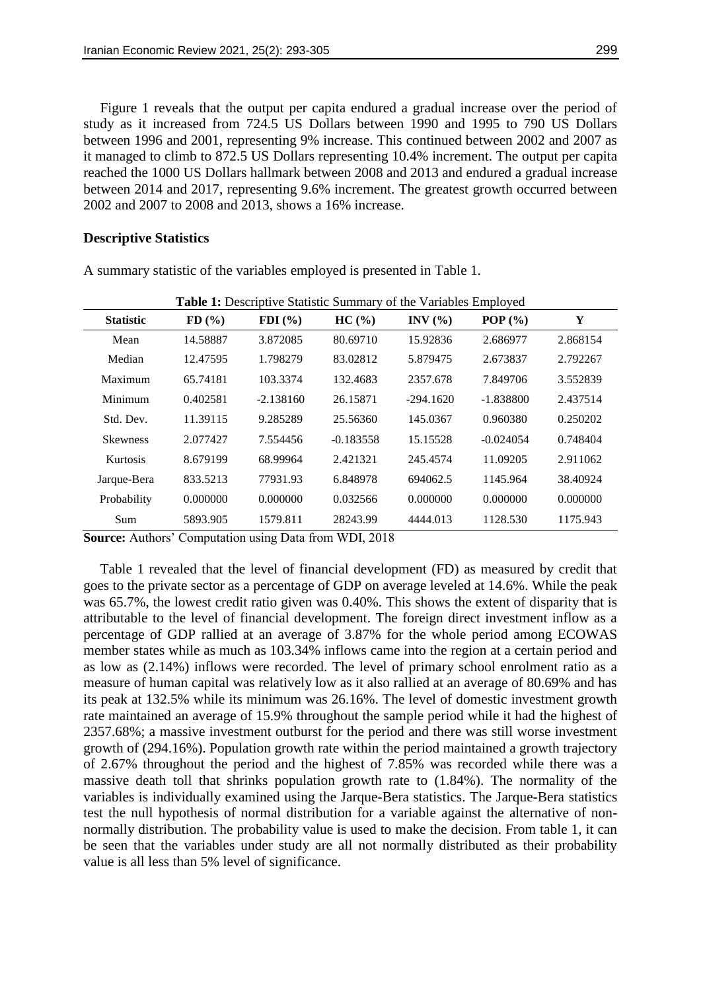Figure 1 reveals that the output per capita endured a gradual increase over the period of study as it increased from 724.5 US Dollars between 1990 and 1995 to 790 US Dollars between 1996 and 2001, representing 9% increase. This continued between 2002 and 2007 as it managed to climb to 872.5 US Dollars representing 10.4% increment. The output per capita reached the 1000 US Dollars hallmark between 2008 and 2013 and endured a gradual increase between 2014 and 2017, representing 9.6% increment. The greatest growth occurred between 2002 and 2007 to 2008 and 2013, shows a 16% increase.

## **Descriptive Statistics**

|                  |          | <b>Table 1:</b> Descriptive Statistic Summary of the Variables Employed |             |             |             |          |  |
|------------------|----------|-------------------------------------------------------------------------|-------------|-------------|-------------|----------|--|
| <b>Statistic</b> | $FD($ %) | $FDI$ $(\frac{9}{6})$                                                   | HC(%)       | INV $(% )$  | POP $(\% )$ | Y        |  |
| Mean             | 14.58887 | 3.872085                                                                | 80.69710    | 15.92836    | 2.686977    | 2.868154 |  |
| Median           | 12.47595 | 1.798279                                                                | 83.02812    | 5.879475    | 2.673837    | 2.792267 |  |
| Maximum          | 65.74181 | 103.3374                                                                | 132.4683    | 2357.678    | 7.849706    | 3.552839 |  |
| Minimum          | 0.402581 | $-2.138160$                                                             | 26.15871    | $-294.1620$ | $-1.838800$ | 2.437514 |  |
| Std. Dev.        | 11.39115 | 9.285289                                                                | 25.56360    | 145.0367    | 0.960380    | 0.250202 |  |
| <b>Skewness</b>  | 2.077427 | 7.554456                                                                | $-0.183558$ | 15.15528    | $-0.024054$ | 0.748404 |  |
| Kurtosis         | 8.679199 | 68.99964                                                                | 2.421321    | 245.4574    | 11.09205    | 2.911062 |  |
| Jarque-Bera      | 833.5213 | 77931.93                                                                | 6.848978    | 694062.5    | 1145.964    | 38.40924 |  |
| Probability      | 0.000000 | 0.000000                                                                | 0.032566    | 0.000000    | 0.000000    | 0.000000 |  |
| Sum              | 5893.905 | 1579.811                                                                | 28243.99    | 4444.013    | 1128.530    | 1175.943 |  |

A summary statistic of the variables employed is presented in Table 1.

**Source:** Authors' Computation using Data from WDI, 2018

Table 1 revealed that the level of financial development (FD) as measured by credit that goes to the private sector as a percentage of GDP on average leveled at 14.6%. While the peak was 65.7%, the lowest credit ratio given was 0.40%. This shows the extent of disparity that is attributable to the level of financial development. The foreign direct investment inflow as a percentage of GDP rallied at an average of 3.87% for the whole period among ECOWAS member states while as much as 103.34% inflows came into the region at a certain period and as low as (2.14%) inflows were recorded. The level of primary school enrolment ratio as a measure of human capital was relatively low as it also rallied at an average of 80.69% and has its peak at 132.5% while its minimum was 26.16%. The level of domestic investment growth rate maintained an average of 15.9% throughout the sample period while it had the highest of 2357.68%; a massive investment outburst for the period and there was still worse investment growth of (294.16%). Population growth rate within the period maintained a growth trajectory of 2.67% throughout the period and the highest of 7.85% was recorded while there was a massive death toll that shrinks population growth rate to (1.84%). The normality of the variables is individually examined using the Jarque-Bera statistics. The Jarque-Bera statistics test the null hypothesis of normal distribution for a variable against the alternative of nonnormally distribution. The probability value is used to make the decision. From table 1, it can be seen that the variables under study are all not normally distributed as their probability value is all less than 5% level of significance.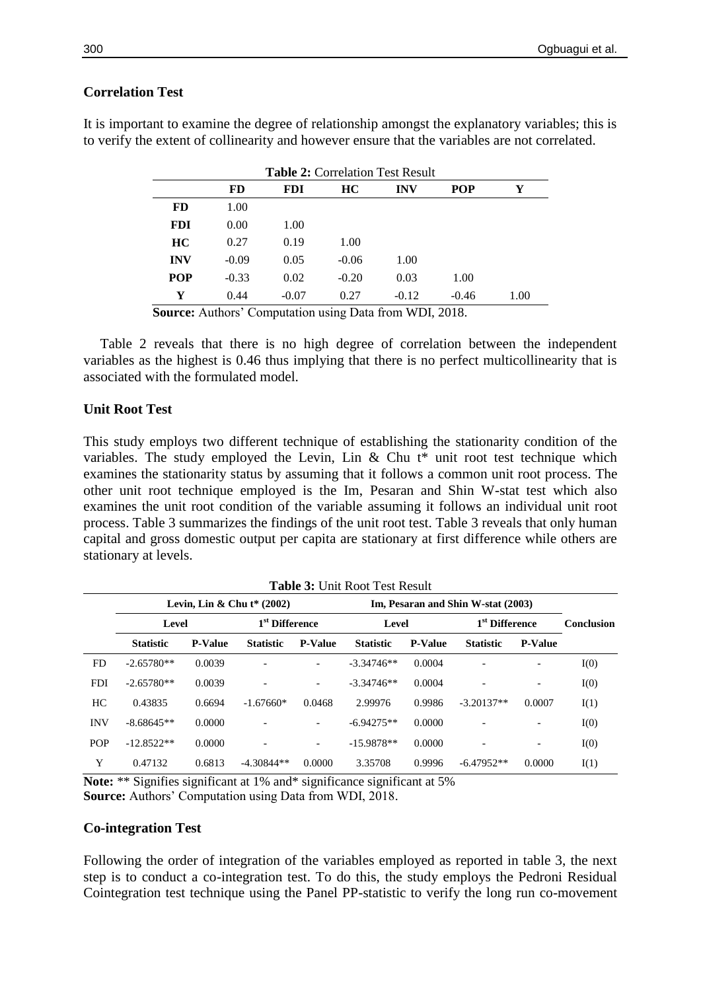## **Correlation Test**

| <b>Table 2: Correlation Test Result</b> |           |            |           |            |            |      |  |  |
|-----------------------------------------|-----------|------------|-----------|------------|------------|------|--|--|
|                                         | <b>FD</b> | <b>FDI</b> | <b>HC</b> | <b>INV</b> | <b>POP</b> | Y    |  |  |
| <b>FD</b>                               | 1.00      |            |           |            |            |      |  |  |
| <b>FDI</b>                              | 0.00      | 1.00       |           |            |            |      |  |  |
| <b>HC</b>                               | 0.27      | 0.19       | 1.00      |            |            |      |  |  |
| <b>INV</b>                              | $-0.09$   | 0.05       | $-0.06$   | 1.00       |            |      |  |  |
| <b>POP</b>                              | $-0.33$   | 0.02       | $-0.20$   | 0.03       | 1.00       |      |  |  |
| Y                                       | 0.44      | $-0.07$    | 0.27      | $-0.12$    | $-0.46$    | 1.00 |  |  |
|                                         |           |            |           |            |            |      |  |  |

It is important to examine the degree of relationship amongst the explanatory variables; this is to verify the extent of collinearity and however ensure that the variables are not correlated.

**Source:** Authors' Computation using Data from WDI, 2018.

Table 2 reveals that there is no high degree of correlation between the independent variables as the highest is 0.46 thus implying that there is no perfect multicollinearity that is associated with the formulated model.

## **Unit Root Test**

This study employs two different technique of establishing the stationarity condition of the variables. The study employed the Levin, Lin & Chu  $t^*$  unit root test technique which examines the stationarity status by assuming that it follows a common unit root process. The other unit root technique employed is the Im, Pesaran and Shin W-stat test which also examines the unit root condition of the variable assuming it follows an individual unit root process. Table 3 summarizes the findings of the unit root test. Table 3 reveals that only human capital and gross domestic output per capita are stationary at first difference while others are stationary at levels.

| <b>Table 3: Unit Root Test Result</b> |                                                                    |                |                              |                          |                  |                |                            |                |            |  |
|---------------------------------------|--------------------------------------------------------------------|----------------|------------------------------|--------------------------|------------------|----------------|----------------------------|----------------|------------|--|
|                                       | Levin, Lin & Chu $t^*(2002)$<br>Im, Pesaran and Shin W-stat (2003) |                |                              |                          |                  |                |                            |                |            |  |
|                                       | Level                                                              |                | 1 <sup>st</sup> Difference   |                          | Level            |                | 1 <sup>st</sup> Difference |                | Conclusion |  |
|                                       | <b>Statistic</b>                                                   | <b>P-Value</b> | <b>Statistic</b>             | <b>P-Value</b>           | <b>Statistic</b> | <b>P-Value</b> | <b>Statistic</b>           | <b>P-Value</b> |            |  |
| FD.                                   | $-2.65780**$                                                       | 0.0039         |                              |                          | $-3.34746**$     | 0.0004         |                            |                | I(0)       |  |
| <b>FDI</b>                            | $-2.65780**$                                                       | 0.0039         | $\qquad \qquad \blacksquare$ | $\overline{\phantom{0}}$ | $-3.34746**$     | 0.0004         | $\overline{\phantom{0}}$   | -              | I(0)       |  |
| HС                                    | 0.43835                                                            | 0.6694         | $-1.67660*$                  | 0.0468                   | 2.99976          | 0.9986         | $-3.20137**$               | 0.0007         | I(1)       |  |
| <b>INV</b>                            | $-8.68645**$                                                       | 0.0000         |                              |                          | $-6.94275**$     | 0.0000         |                            |                | I(0)       |  |
| <b>POP</b>                            | $-12.8522**$                                                       | 0.0000         | $\overline{\phantom{0}}$     | $\overline{\phantom{0}}$ | $-15.9878**$     | 0.0000         |                            | -              | I(0)       |  |
| Y                                     | 0.47132                                                            | 0.6813         | $-4.30844**$                 | 0.0000                   | 3.35708          | 0.9996         | $-6.47952**$               | 0.0000         | I(1)       |  |

**Note:** \*\* Signifies significant at 1% and\* significance significant at 5% **Source:** Authors' Computation using Data from WDI, 2018.

## **Co-integration Test**

Following the order of integration of the variables employed as reported in table 3, the next step is to conduct a co-integration test. To do this, the study employs the Pedroni Residual Cointegration test technique using the Panel PP-statistic to verify the long run co-movement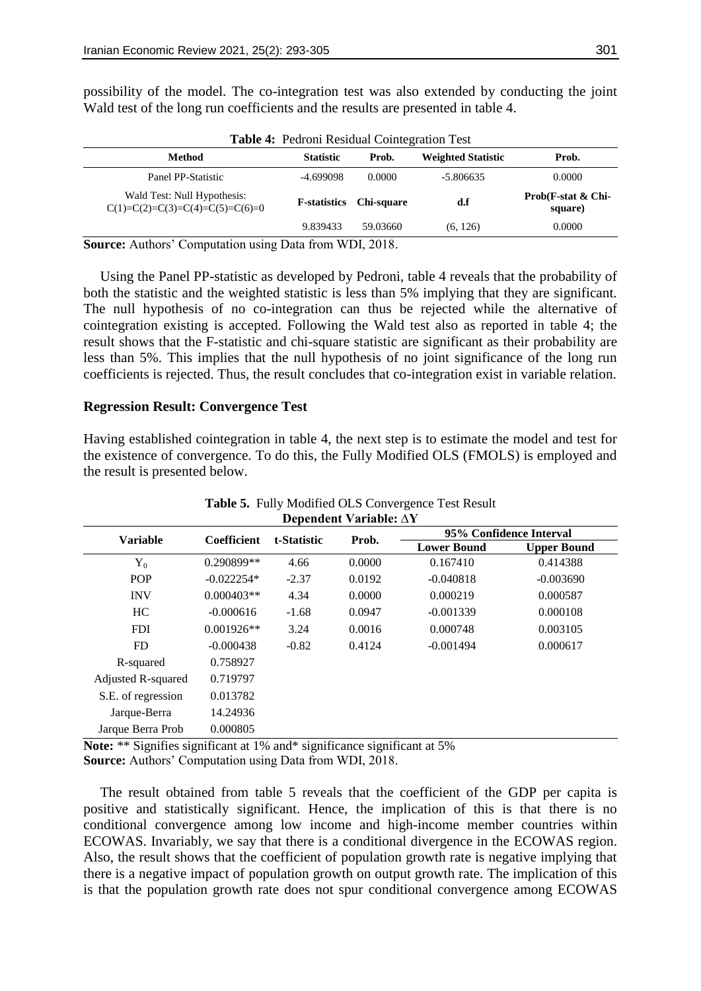| <b>Table 4: Pedroni Residual Cointegration Test</b>              |                      |            |                           |                               |  |  |  |  |
|------------------------------------------------------------------|----------------------|------------|---------------------------|-------------------------------|--|--|--|--|
| <b>Method</b>                                                    | <b>Statistic</b>     | Prob.      | <b>Weighted Statistic</b> | Prob.                         |  |  |  |  |
| Panel PP-Statistic                                               | -4.699098            | 0.0000     | $-5.806635$               | 0.0000                        |  |  |  |  |
| Wald Test: Null Hypothesis:<br>$C(1)=C(2)=C(3)=C(4)=C(5)=C(6)=0$ | <b>F</b> -statistics | Chi-square | d.f                       | Prob(F-stat & Chi-<br>square) |  |  |  |  |
|                                                                  | 9.839433             | 59.03660   | (6, 126)                  | 0.0000                        |  |  |  |  |

possibility of the model. The co-integration test was also extended by conducting the joint Wald test of the long run coefficients and the results are presented in table 4.

**Source:** Authors' Computation using Data from WDI, 2018.

Using the Panel PP-statistic as developed by Pedroni, table 4 reveals that the probability of both the statistic and the weighted statistic is less than 5% implying that they are significant. The null hypothesis of no co-integration can thus be rejected while the alternative of cointegration existing is accepted. Following the Wald test also as reported in table 4; the result shows that the F-statistic and chi-square statistic are significant as their probability are less than 5%. This implies that the null hypothesis of no joint significance of the long run coefficients is rejected. Thus, the result concludes that co-integration exist in variable relation.

## **Regression Result: Convergence Test**

Having established cointegration in table 4, the next step is to estimate the model and test for the existence of convergence. To do this, the Fully Modified OLS (FMOLS) is employed and the result is presented below.

| <b>Variable</b>    | <b>Coefficient</b> | t-Statistic |        | 95% Confidence Interval |                    |  |
|--------------------|--------------------|-------------|--------|-------------------------|--------------------|--|
|                    |                    |             | Prob.  | <b>Lower Bound</b>      | <b>Upper Bound</b> |  |
| ${\rm Y_0}$        | $0.290899**$       | 4.66        | 0.0000 | 0.167410                | 0.414388           |  |
| <b>POP</b>         | $-0.022254*$       | $-2.37$     | 0.0192 | $-0.040818$             | $-0.003690$        |  |
| <b>INV</b>         | $0.000403**$       | 4.34        | 0.0000 | 0.000219                | 0.000587           |  |
| HC                 | $-0.000616$        | $-1.68$     | 0.0947 | $-0.001339$             | 0.000108           |  |
| <b>FDI</b>         | $0.001926**$       | 3.24        | 0.0016 | 0.000748                | 0.003105           |  |
| FD                 | $-0.000438$        | $-0.82$     | 0.4124 | $-0.001494$             | 0.000617           |  |
| R-squared          | 0.758927           |             |        |                         |                    |  |
| Adjusted R-squared | 0.719797           |             |        |                         |                    |  |
| S.E. of regression | 0.013782           |             |        |                         |                    |  |
| Jarque-Berra       | 14.24936           |             |        |                         |                    |  |
| Jarque Berra Prob  | 0.000805           |             |        |                         |                    |  |

## **Table 5.** Fully Modified OLS Convergence Test Result **Dependent Variable: ∆Y**

Note: \*\* Signifies significant at 1% and\* significance significant at 5% **Source:** Authors' Computation using Data from WDI, 2018.

The result obtained from table 5 reveals that the coefficient of the GDP per capita is positive and statistically significant. Hence, the implication of this is that there is no conditional convergence among low income and high-income member countries within ECOWAS. Invariably, we say that there is a conditional divergence in the ECOWAS region. Also, the result shows that the coefficient of population growth rate is negative implying that there is a negative impact of population growth on output growth rate. The implication of this is that the population growth rate does not spur conditional convergence among ECOWAS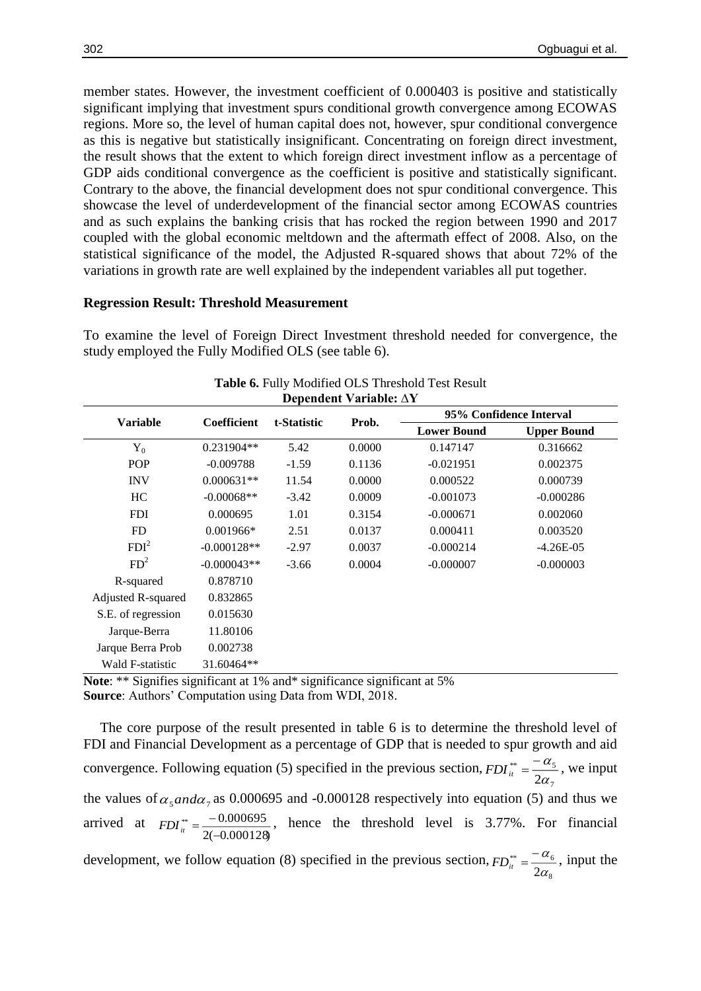member states. However, the investment coefficient of 0.000403 is positive and statistically significant implying that investment spurs conditional growth convergence among ECOWAS regions. More so, the level of human capital does not, however, spur conditional convergence as this is negative but statistically insignificant. Concentrating on foreign direct investment, the result shows that the extent to which foreign direct investment inflow as a percentage of GDP aids conditional convergence as the coefficient is positive and statistically significant. Contrary to the above, the financial development does not spur conditional convergence. This showcase the level of underdevelopment of the financial sector among ECOWAS countries and as such explains the banking crisis that has rocked the region between 1990 and 2017 coupled with the global economic meltdown and the aftermath effect of 2008. Also, on the statistical significance of the model, the Adjusted R-squared shows that about 72% of the variations in growth rate are well explained by the independent variables all put together.

## **Regression Result: Threshold Measurement**

To examine the level of Foreign Direct Investment threshold needed for convergence, the study employed the Fully Modified OLS (see table 6).

| Dependent variable: $\Delta Y$ |                    |             |        |                         |                    |  |  |  |
|--------------------------------|--------------------|-------------|--------|-------------------------|--------------------|--|--|--|
| <b>Variable</b>                | <b>Coefficient</b> | t-Statistic | Prob.  | 95% Confidence Interval |                    |  |  |  |
|                                |                    |             |        | <b>Lower Bound</b>      | <b>Upper Bound</b> |  |  |  |
| $Y_0$                          | $0.231904**$       | 5.42        | 0.0000 | 0.147147                | 0.316662           |  |  |  |
| <b>POP</b>                     | $-0.009788$        | $-1.59$     | 0.1136 | $-0.021951$             | 0.002375           |  |  |  |
| <b>INV</b>                     | $0.000631**$       | 11.54       | 0.0000 | 0.000522                | 0.000739           |  |  |  |
| HC                             | $-0.00068**$       | $-3.42$     | 0.0009 | $-0.001073$             | $-0.000286$        |  |  |  |
| <b>FDI</b>                     | 0.000695           | 1.01        | 0.3154 | $-0.000671$             | 0.002060           |  |  |  |
| <b>FD</b>                      | $0.001966*$        | 2.51        | 0.0137 | 0.000411                | 0.003520           |  |  |  |
| FDI <sup>2</sup>               | $-0.000128**$      | $-2.97$     | 0.0037 | $-0.000214$             | $-4.26E-05$        |  |  |  |
| FD <sup>2</sup>                | $-0.000043**$      | $-3.66$     | 0.0004 | $-0.000007$             | $-0.000003$        |  |  |  |
| R-squared                      | 0.878710           |             |        |                         |                    |  |  |  |
| Adjusted R-squared             | 0.832865           |             |        |                         |                    |  |  |  |
| S.E. of regression             | 0.015630           |             |        |                         |                    |  |  |  |
| Jarque-Berra                   | 11.80106           |             |        |                         |                    |  |  |  |
| Jarque Berra Prob              | 0.002738           |             |        |                         |                    |  |  |  |
| Wald F-statistic               | 31.60464**         |             |        |                         |                    |  |  |  |

**Table 6.** Fully Modified OLS Threshold Test Result **Dependent Variable: ∆Y**

Note: \*\* Signifies significant at 1% and\* significance significant at 5% **Source**: Authors' Computation using Data from WDI, 2018.

The core purpose of the result presented in table 6 is to determine the threshold level of FDI and Financial Development as a percentage of GDP that is needed to spur growth and aid convergence. Following equation (5) specified in the previous section, 7 \*\*  $\mathsf{w}_5$  $2\alpha$  $FDI_{it}^{**} = \frac{-\alpha_5}{2}$ , we input the values of  $\alpha_5$  *and*  $\alpha_7$  as 0.000695 and -0.000128 respectively into equation (5) and thus we arrived at 2(-0.000128)  $^{**}$   $-0.000695$ ⇁  $FDI_{it}^{**} = \frac{-0.000695}{2(0.000120)}$ , hence the threshold level is 3.77%. For financial

development, we follow equation (8) specified in the previous section, 8 \*\*  $\mathfrak{a}_6$  $2\alpha$  $FD_{it}^{**} = \frac{-\alpha_6}{2}$ , input the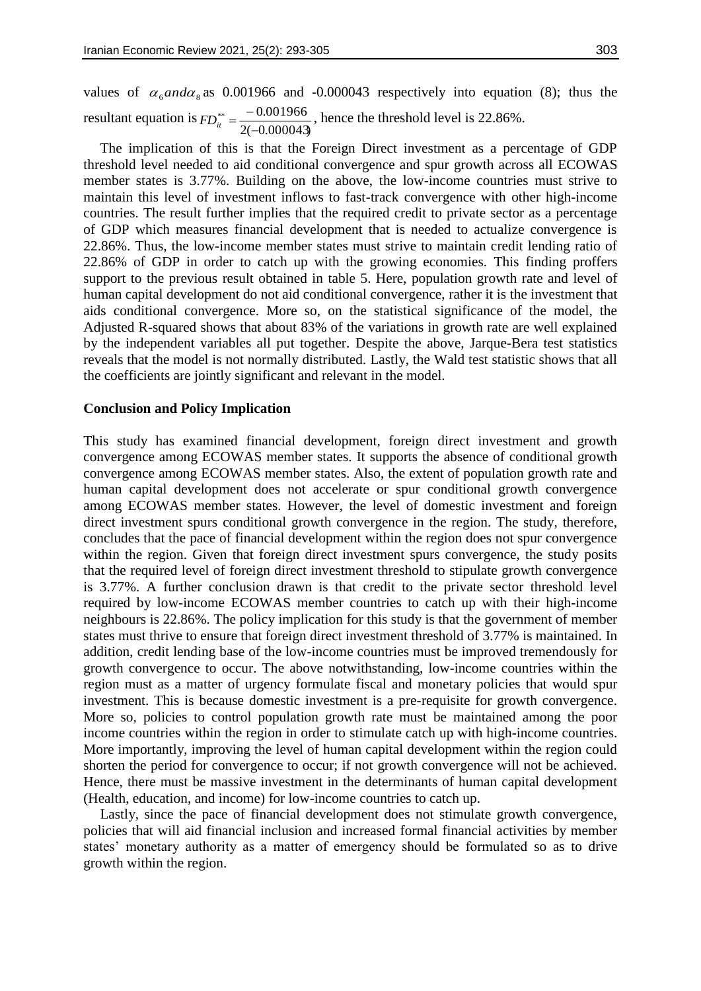values of  $\alpha_{\rm s}$  *and*  $\alpha_{\rm s}$  as 0.001966 and -0.000043 respectively into equation (8); thus the resultant equation is 2(-0.000043)  $^{**}$   $-0.001966$ - 1  $FD_{it}^{**} = \frac{-0.001900}{2600000}$ , hence the threshold level is 22.86%.

The implication of this is that the Foreign Direct investment as a percentage of GDP threshold level needed to aid conditional convergence and spur growth across all ECOWAS member states is 3.77%. Building on the above, the low-income countries must strive to maintain this level of investment inflows to fast-track convergence with other high-income countries. The result further implies that the required credit to private sector as a percentage of GDP which measures financial development that is needed to actualize convergence is 22.86%. Thus, the low-income member states must strive to maintain credit lending ratio of 22.86% of GDP in order to catch up with the growing economies. This finding proffers support to the previous result obtained in table 5. Here, population growth rate and level of human capital development do not aid conditional convergence, rather it is the investment that aids conditional convergence. More so, on the statistical significance of the model, the Adjusted R-squared shows that about 83% of the variations in growth rate are well explained by the independent variables all put together. Despite the above, Jarque-Bera test statistics reveals that the model is not normally distributed. Lastly, the Wald test statistic shows that all the coefficients are jointly significant and relevant in the model.

## **Conclusion and Policy Implication**

This study has examined financial development, foreign direct investment and growth convergence among ECOWAS member states. It supports the absence of conditional growth convergence among ECOWAS member states. Also, the extent of population growth rate and human capital development does not accelerate or spur conditional growth convergence among ECOWAS member states. However, the level of domestic investment and foreign direct investment spurs conditional growth convergence in the region. The study, therefore, concludes that the pace of financial development within the region does not spur convergence within the region. Given that foreign direct investment spurs convergence, the study posits that the required level of foreign direct investment threshold to stipulate growth convergence is 3.77%. A further conclusion drawn is that credit to the private sector threshold level required by low-income ECOWAS member countries to catch up with their high-income neighbours is 22.86%. The policy implication for this study is that the government of member states must thrive to ensure that foreign direct investment threshold of 3.77% is maintained. In addition, credit lending base of the low-income countries must be improved tremendously for growth convergence to occur. The above notwithstanding, low-income countries within the region must as a matter of urgency formulate fiscal and monetary policies that would spur investment. This is because domestic investment is a pre-requisite for growth convergence. More so, policies to control population growth rate must be maintained among the poor income countries within the region in order to stimulate catch up with high-income countries. More importantly, improving the level of human capital development within the region could shorten the period for convergence to occur; if not growth convergence will not be achieved. Hence, there must be massive investment in the determinants of human capital development (Health, education, and income) for low-income countries to catch up.

Lastly, since the pace of financial development does not stimulate growth convergence, policies that will aid financial inclusion and increased formal financial activities by member states' monetary authority as a matter of emergency should be formulated so as to drive growth within the region.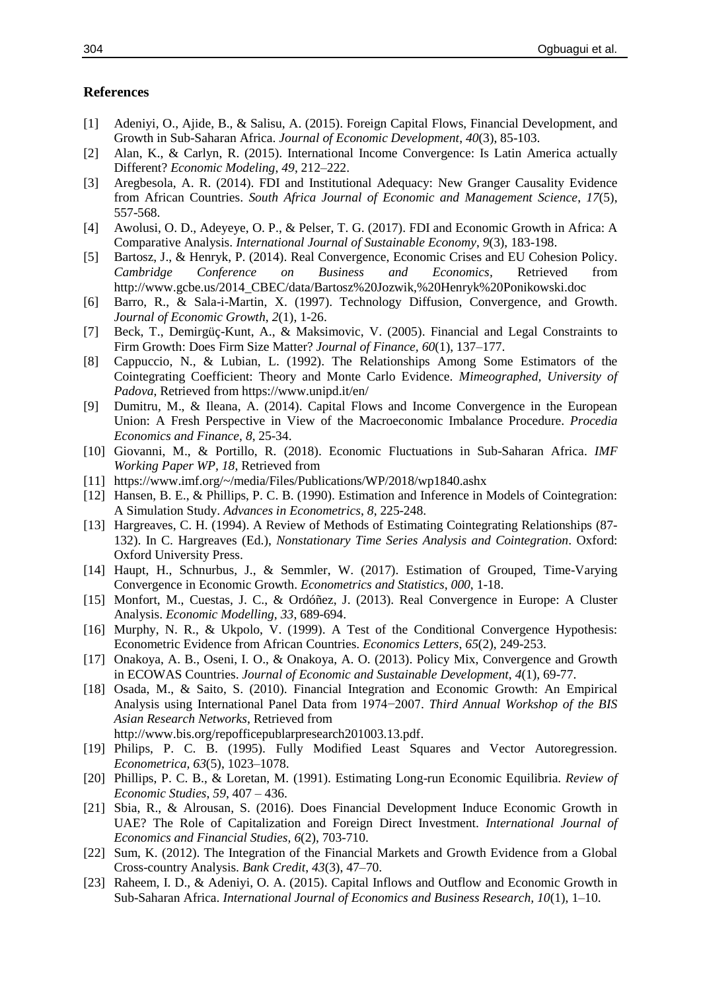#### **References**

- [1] Adeniyi, O., Ajide, B., & Salisu, A. (2015). Foreign Capital Flows, Financial Development, and Growth in Sub-Saharan Africa. *Journal of Economic Development*, *40*(3), 85-103.
- [2] Alan, K., & Carlyn, R. (2015). International Income Convergence: Is Latin America actually Different? *Economic Modeling*, *49*, 212–222.
- [3] Aregbesola, A. R. (2014). FDI and Institutional Adequacy: New Granger Causality Evidence from African Countries. *South Africa Journal of Economic and Management Science*, *17*(5), 557-568.
- [4] Awolusi, O. D., Adeyeye, O. P., & Pelser, T. G. (2017). FDI and Economic Growth in Africa: A Comparative Analysis. *International Journal of Sustainable Economy*, *9*(3), 183-198.
- [5] Bartosz, J., & Henryk, P. (2014). Real Convergence, Economic Crises and EU Cohesion Policy. *Cambridge Conference on Business and Economics,* Retrieved from http://www.gcbe.us/2014\_CBEC/data/Bartosz%20Jozwik,%20Henryk%20Ponikowski.doc
- [6] Barro, R., & Sala-i-Martin, X. (1997). Technology Diffusion, Convergence, and Growth. *Journal of Economic Growth*, *2*(1), 1-26.
- [7] Beck, T., Demirgüç-Kunt, A., & Maksimovic, V. (2005). Financial and Legal Constraints to Firm Growth: Does Firm Size Matter? *Journal of Finance, 60*(1), 137–177.
- [8] Cappuccio, N., & Lubian, L. (1992). The Relationships Among Some Estimators of the Cointegrating Coefficient: Theory and Monte Carlo Evidence. *Mimeographed, University of Padova*, Retrieved from https://www.unipd.it/en/
- [9] Dumitru, M., & Ileana, A. (2014). Capital Flows and Income Convergence in the European Union: A Fresh Perspective in View of the Macroeconomic Imbalance Procedure. *Procedia Economics and Finance*, *8*, 25-34.
- [10] Giovanni, M., & Portillo, R. (2018). Economic Fluctuations in Sub-Saharan Africa. *IMF Working Paper WP, 18*, Retrieved from
- [11] https://www.imf.org/~/media/Files/Publications/WP/2018/wp1840.ashx
- [12] Hansen, B. E., & Phillips, P. C. B. (1990). Estimation and Inference in Models of Cointegration: A Simulation Study. *Advances in Econometrics*, *8*, 225-248.
- [13] Hargreaves, C. H. (1994). A Review of Methods of Estimating Cointegrating Relationships (87- 132). In C. Hargreaves (Ed.), *Nonstationary Time Series Analysis and Cointegration*. Oxford: Oxford University Press.
- [14] Haupt, H., Schnurbus, J., & Semmler, W. (2017). Estimation of Grouped, Time-Varying Convergence in Economic Growth. *Econometrics and Statistics*, *000*, 1-18.
- [15] Monfort, M., Cuestas, J. C., & Ordóñez, J. (2013). Real Convergence in Europe: A Cluster Analysis. *Economic Modelling, 33*, 689-694.
- [16] Murphy, N. R., & Ukpolo, V. (1999). A Test of the Conditional Convergence Hypothesis: Econometric Evidence from African Countries. *Economics Letters*, *65*(2), 249-253.
- [17] Onakoya, A. B., Oseni, I. O., & Onakoya, A. O. (2013). Policy Mix, Convergence and Growth in ECOWAS Countries. *Journal of Economic and Sustainable Development*, *4*(1), 69-77.
- [18] Osada, M., & Saito, S. (2010). Financial Integration and Economic Growth: An Empirical Analysis using International Panel Data from 1974−2007. *Third Annual Workshop of the BIS Asian Research Networks*, Retrieved from
	- http://www.bis.org/repofficepublarpresearch201003.13.pdf.
- [19] Philips, P. C. B. (1995). Fully Modified Least Squares and Vector Autoregression. *Econometrica, 63*(5), 1023–1078.
- [20] Phillips, P. C. B., & Loretan, M. (1991). Estimating Long-run Economic Equilibria. *Review of Economic Studies*, *59*, 407 – 436.
- [21] Sbia, R., & Alrousan, S. (2016). Does Financial Development Induce Economic Growth in UAE? The Role of Capitalization and Foreign Direct Investment. *International Journal of Economics and Financial Studies, 6*(2), 703-710.
- [22] Sum, K. (2012). The Integration of the Financial Markets and Growth Evidence from a Global Cross-country Analysis. *Bank Credit*, *43*(3), 47–70.
- [23] Raheem, I. D., & Adeniyi, O. A. (2015). Capital Inflows and Outflow and Economic Growth in Sub-Saharan Africa. *International Journal of Economics and Business Research, 10*(1), 1–10.